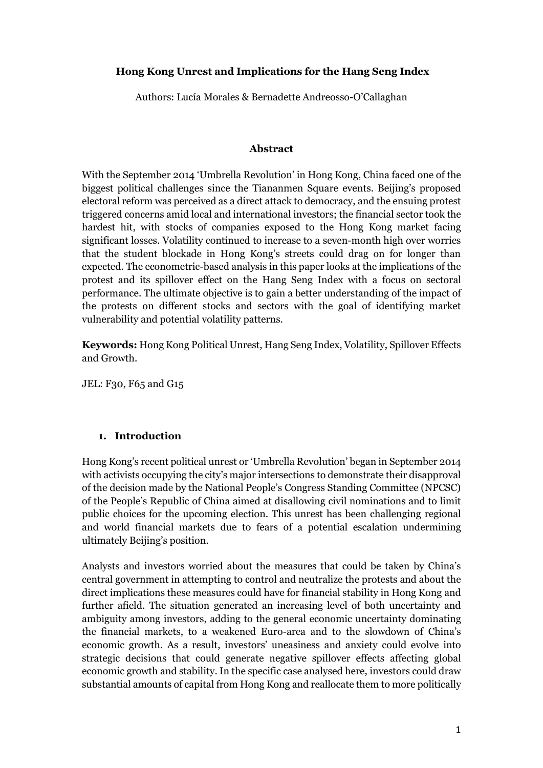## **Hong Kong Unrest and Implications for the Hang Seng Index**

Authors: Lucía Morales & Bernadette Andreosso-O'Callaghan

#### **Abstract**

With the September 2014 'Umbrella Revolution' in Hong Kong, China faced one of the biggest political challenges since the Tiananmen Square events. Beijing's proposed electoral reform was perceived as a direct attack to democracy, and the ensuing protest triggered concerns amid local and international investors; the financial sector took the hardest hit, with stocks of companies exposed to the Hong Kong market facing significant losses. Volatility continued to increase to a seven-month high over worries that the student blockade in Hong Kong's streets could drag on for longer than expected. The econometric-based analysis in this paper looks at the implications of the protest and its spillover effect on the Hang Seng Index with a focus on sectoral performance. The ultimate objective is to gain a better understanding of the impact of the protests on different stocks and sectors with the goal of identifying market vulnerability and potential volatility patterns.

**Keywords:** Hong Kong Political Unrest, Hang Seng Index, Volatility, Spillover Effects and Growth.

JEL: F30, F65 and G15

## **1. Introduction**

Hong Kong's recent political unrest or 'Umbrella Revolution' began in September 2014 with activists occupying the city's major intersections to demonstrate their disapproval of the decision made by the National People's Congress Standing Committee (NPCSC) of the People's Republic of China aimed at disallowing civil nominations and to limit public choices for the upcoming election. This unrest has been challenging regional and world financial markets due to fears of a potential escalation undermining ultimately Beijing's position.

Analysts and investors worried about the measures that could be taken by China's central government in attempting to control and neutralize the protests and about the direct implications these measures could have for financial stability in Hong Kong and further afield. The situation generated an increasing level of both uncertainty and ambiguity among investors, adding to the general economic uncertainty dominating the financial markets, to a weakened Euro-area and to the slowdown of China's economic growth. As a result, investors' uneasiness and anxiety could evolve into strategic decisions that could generate negative spillover effects affecting global economic growth and stability. In the specific case analysed here, investors could draw substantial amounts of capital from Hong Kong and reallocate them to more politically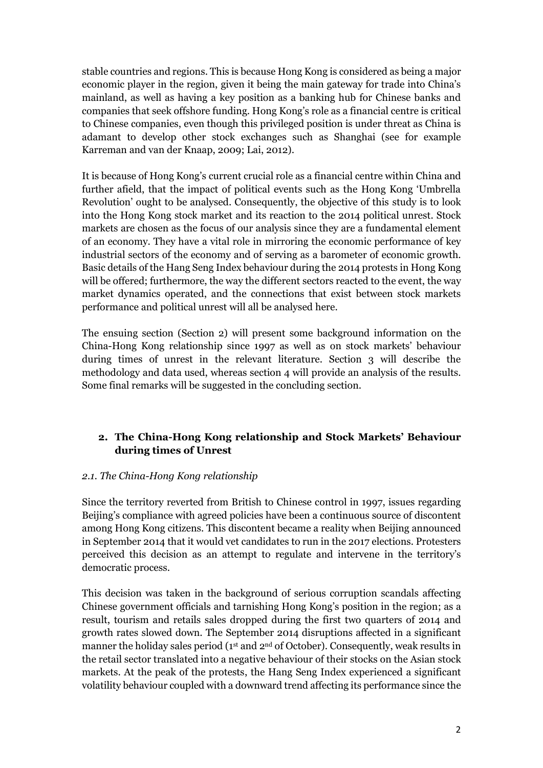stable countries and regions. This is because Hong Kong is considered as being a major economic player in the region, given it being the main gateway for trade into China's mainland, as well as having a key position as a banking hub for Chinese banks and companies that seek offshore funding. Hong Kong's role as a financial centre is critical to Chinese companies, even though this privileged position is under threat as China is adamant to develop other stock exchanges such as Shanghai (see for example Karreman and van der Knaap, 2009; Lai, 2012).

It is because of Hong Kong's current crucial role as a financial centre within China and further afield, that the impact of political events such as the Hong Kong 'Umbrella Revolution' ought to be analysed. Consequently, the objective of this study is to look into the Hong Kong stock market and its reaction to the 2014 political unrest. Stock markets are chosen as the focus of our analysis since they are a fundamental element of an economy. They have a vital role in mirroring the economic performance of key industrial sectors of the economy and of serving as a barometer of economic growth. Basic details of the Hang Seng Index behaviour during the 2014 protests in Hong Kong will be offered; furthermore, the way the different sectors reacted to the event, the way market dynamics operated, and the connections that exist between stock markets performance and political unrest will all be analysed here.

The ensuing section (Section 2) will present some background information on the China-Hong Kong relationship since 1997 as well as on stock markets' behaviour during times of unrest in the relevant literature. Section 3 will describe the methodology and data used, whereas section 4 will provide an analysis of the results. Some final remarks will be suggested in the concluding section.

# **2. The China-Hong Kong relationship and Stock Markets' Behaviour during times of Unrest**

#### *2.1. The China-Hong Kong relationship*

Since the territory reverted from British to Chinese control in 1997, issues regarding Beijing's compliance with agreed policies have been a continuous source of discontent among Hong Kong citizens. This discontent became a reality when Beijing announced in September 2014 that it would vet candidates to run in the 2017 elections. Protesters perceived this decision as an attempt to regulate and intervene in the territory's democratic process.

This decision was taken in the background of serious corruption scandals affecting Chinese government officials and tarnishing Hong Kong's position in the region; as a result, tourism and retails sales dropped during the first two quarters of 2014 and growth rates slowed down. The September 2014 disruptions affected in a significant manner the holiday sales period (1<sup>st</sup> and 2<sup>nd</sup> of October). Consequently, weak results in the retail sector translated into a negative behaviour of their stocks on the Asian stock markets. At the peak of the protests, the Hang Seng Index experienced a significant volatility behaviour coupled with a downward trend affecting its performance since the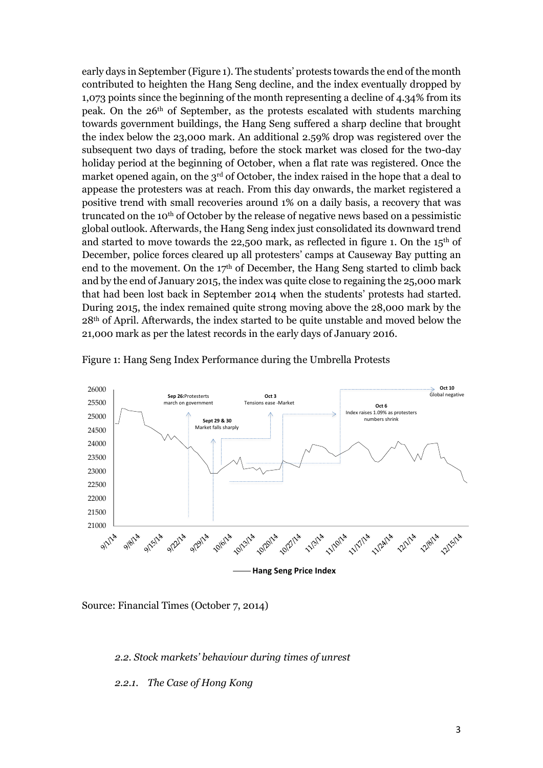early days in September (Figure 1). The students' protests towards the end of the month contributed to heighten the Hang Seng decline, and the index eventually dropped by 1,073 points since the beginning of the month representing a decline of 4.34% from its peak. On the 26th of September, as the protests escalated with students marching towards government buildings, the Hang Seng suffered a sharp decline that brought the index below the 23,000 mark. An additional 2.59% drop was registered over the subsequent two days of trading, before the stock market was closed for the two-day holiday period at the beginning of October, when a flat rate was registered. Once the market opened again, on the 3<sup>rd</sup> of October, the index raised in the hope that a deal to appease the protesters was at reach. From this day onwards, the market registered a positive trend with small recoveries around 1% on a daily basis, a recovery that was truncated on the 10<sup>th</sup> of October by the release of negative news based on a pessimistic global outlook. Afterwards, the Hang Seng index just consolidated its downward trend and started to move towards the 22,500 mark, as reflected in figure 1. On the  $15<sup>th</sup>$  of December, police forces cleared up all protesters' camps at Causeway Bay putting an end to the movement. On the  $17<sup>th</sup>$  of December, the Hang Seng started to climb back and by the end of January 2015, the index was quite close to regaining the 25,000 mark that had been lost back in September 2014 when the students' protests had started. During 2015, the index remained quite strong moving above the 28,000 mark by the 28th of April. Afterwards, the index started to be quite unstable and moved below the 21,000 mark as per the latest records in the early days of January 2016.



Figure 1: Hang Seng Index Performance during the Umbrella Protests

Source: Financial Times (October 7, 2014)

*2.2. Stock markets' behaviour during times of unrest*

#### *2.2.1. The Case of Hong Kong*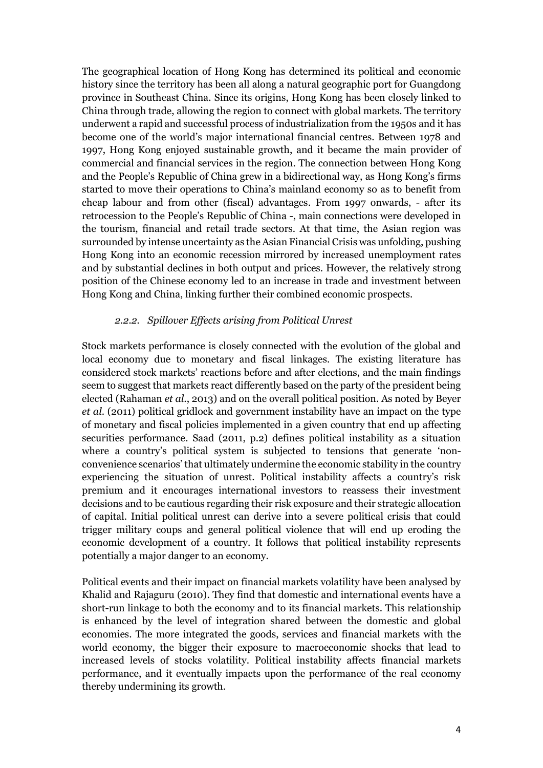The geographical location of Hong Kong has determined its political and economic history since the territory has been all along a natural geographic port for Guangdong province in Southeast China. Since its origins, Hong Kong has been closely linked to China through trade, allowing the region to connect with global markets. The territory underwent a rapid and successful process of industrialization from the 1950s and it has become one of the world's major international financial centres. Between 1978 and 1997, Hong Kong enjoyed sustainable growth, and it became the main provider of commercial and financial services in the region. The connection between Hong Kong and the People's Republic of China grew in a bidirectional way, as Hong Kong's firms started to move their operations to China's mainland economy so as to benefit from cheap labour and from other (fiscal) advantages. From 1997 onwards, - after its retrocession to the People's Republic of China -, main connections were developed in the tourism, financial and retail trade sectors. At that time, the Asian region was surrounded by intense uncertainty as the Asian Financial Crisis was unfolding, pushing Hong Kong into an economic recession mirrored by increased unemployment rates and by substantial declines in both output and prices. However, the relatively strong position of the Chinese economy led to an increase in trade and investment between Hong Kong and China, linking further their combined economic prospects.

#### *2.2.2. Spillover Effects arising from Political Unrest*

Stock markets performance is closely connected with the evolution of the global and local economy due to monetary and fiscal linkages. The existing literature has considered stock markets' reactions before and after elections, and the main findings seem to suggest that markets react differently based on the party of the president being elected (Rahaman *et al*., 2013) and on the overall political position. As noted by Beyer *et al*. (2011) political gridlock and government instability have an impact on the type of monetary and fiscal policies implemented in a given country that end up affecting securities performance. Saad (2011, p.2) defines political instability as a situation where a country's political system is subjected to tensions that generate 'nonconvenience scenarios' that ultimately undermine the economic stability in the country experiencing the situation of unrest. Political instability affects a country's risk premium and it encourages international investors to reassess their investment decisions and to be cautious regarding their risk exposure and their strategic allocation of capital. Initial political unrest can derive into a severe political crisis that could trigger military coups and general political violence that will end up eroding the economic development of a country. It follows that political instability represents potentially a major danger to an economy.

Political events and their impact on financial markets volatility have been analysed by Khalid and Rajaguru (2010). They find that domestic and international events have a short-run linkage to both the economy and to its financial markets. This relationship is enhanced by the level of integration shared between the domestic and global economies. The more integrated the goods, services and financial markets with the world economy, the bigger their exposure to macroeconomic shocks that lead to increased levels of stocks volatility. Political instability affects financial markets performance, and it eventually impacts upon the performance of the real economy thereby undermining its growth.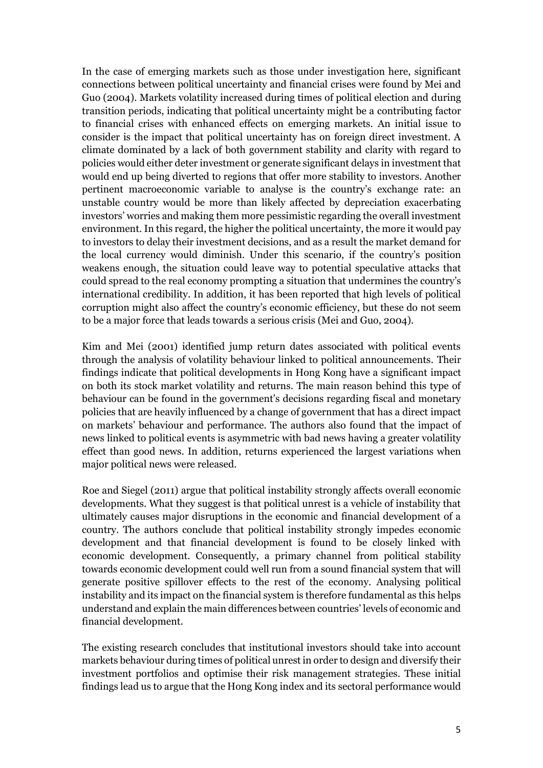In the case of emerging markets such as those under investigation here, significant connections between political uncertainty and financial crises were found by Mei and Guo (2004). Markets volatility increased during times of political election and during transition periods, indicating that political uncertainty might be a contributing factor to financial crises with enhanced effects on emerging markets. An initial issue to consider is the impact that political uncertainty has on foreign direct investment. A climate dominated by a lack of both government stability and clarity with regard to policies would either deter investment or generate significant delays in investment that would end up being diverted to regions that offer more stability to investors. Another pertinent macroeconomic variable to analyse is the country's exchange rate: an unstable country would be more than likely affected by depreciation exacerbating investors' worries and making them more pessimistic regarding the overall investment environment. In this regard, the higher the political uncertainty, the more it would pay to investors to delay their investment decisions, and as a result the market demand for the local currency would diminish. Under this scenario, if the country's position weakens enough, the situation could leave way to potential speculative attacks that could spread to the real economy prompting a situation that undermines the country's international credibility. In addition, it has been reported that high levels of political corruption might also affect the country's economic efficiency, but these do not seem to be a major force that leads towards a serious crisis (Mei and Guo, 2004).

Kim and Mei (2001) identified jump return dates associated with political events through the analysis of volatility behaviour linked to political announcements. Their findings indicate that political developments in Hong Kong have a significant impact on both its stock market volatility and returns. The main reason behind this type of behaviour can be found in the government's decisions regarding fiscal and monetary policies that are heavily influenced by a change of government that has a direct impact on markets' behaviour and performance. The authors also found that the impact of news linked to political events is asymmetric with bad news having a greater volatility effect than good news. In addition, returns experienced the largest variations when major political news were released.

Roe and Siegel (2011) argue that political instability strongly affects overall economic developments. What they suggest is that political unrest is a vehicle of instability that ultimately causes major disruptions in the economic and financial development of a country. The authors conclude that political instability strongly impedes economic development and that financial development is found to be closely linked with economic development. Consequently, a primary channel from political stability towards economic development could well run from a sound financial system that will generate positive spillover effects to the rest of the economy. Analysing political instability and its impact on the financial system is therefore fundamental as this helps understand and explain the main differences between countries' levels of economic and financial development.

The existing research concludes that institutional investors should take into account markets behaviour during times of political unrest in order to design and diversify their investment portfolios and optimise their risk management strategies. These initial findings lead us to argue that the Hong Kong index and its sectoral performance would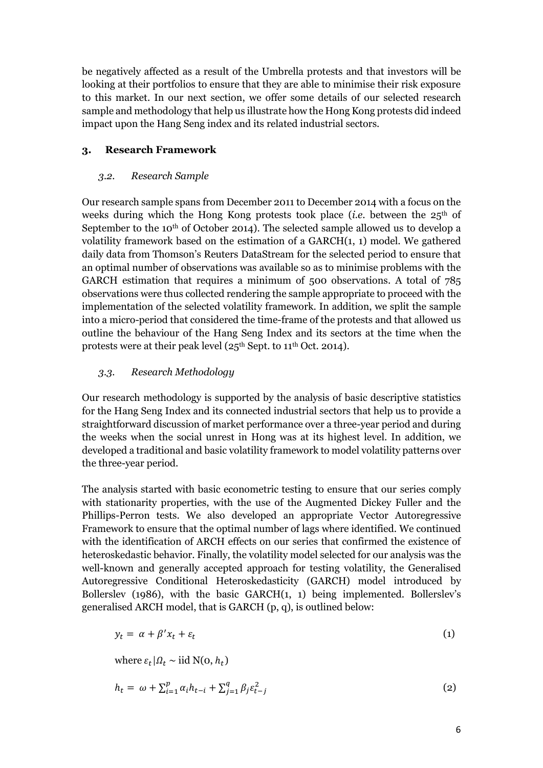be negatively affected as a result of the Umbrella protests and that investors will be looking at their portfolios to ensure that they are able to minimise their risk exposure to this market. In our next section, we offer some details of our selected research sample and methodology that help us illustrate how the Hong Kong protests did indeed impact upon the Hang Seng index and its related industrial sectors.

## **3. Research Framework**

#### *3.2. Research Sample*

Our research sample spans from December 2011 to December 2014 with a focus on the weeks during which the Hong Kong protests took place (*i.e.* between the 25<sup>th</sup> of September to the 10<sup>th</sup> of October 2014). The selected sample allowed us to develop a volatility framework based on the estimation of a GARCH(1, 1) model. We gathered daily data from Thomson's Reuters DataStream for the selected period to ensure that an optimal number of observations was available so as to minimise problems with the GARCH estimation that requires a minimum of 500 observations. A total of 785 observations were thus collected rendering the sample appropriate to proceed with the implementation of the selected volatility framework. In addition, we split the sample into a micro-period that considered the time-frame of the protests and that allowed us outline the behaviour of the Hang Seng Index and its sectors at the time when the protests were at their peak level (25<sup>th</sup> Sept. to 11<sup>th</sup> Oct. 2014).

## *3.3. Research Methodology*

Our research methodology is supported by the analysis of basic descriptive statistics for the Hang Seng Index and its connected industrial sectors that help us to provide a straightforward discussion of market performance over a three-year period and during the weeks when the social unrest in Hong was at its highest level. In addition, we developed a traditional and basic volatility framework to model volatility patterns over the three-year period.

The analysis started with basic econometric testing to ensure that our series comply with stationarity properties, with the use of the Augmented Dickey Fuller and the Phillips-Perron tests. We also developed an appropriate Vector Autoregressive Framework to ensure that the optimal number of lags where identified. We continued with the identification of ARCH effects on our series that confirmed the existence of heteroskedastic behavior. Finally, the volatility model selected for our analysis was the well-known and generally accepted approach for testing volatility, the Generalised Autoregressive Conditional Heteroskedasticity (GARCH) model introduced by Bollerslev (1986), with the basic GARCH(1, 1) being implemented. Bollerslev's generalised ARCH model, that is GARCH (p, q), is outlined below:

$$
y_t = \alpha + \beta' x_t + \varepsilon_t \tag{1}
$$

where  $\varepsilon_t | \Omega_t \sim \text{iid N}(0, h_t)$ 

$$
h_t = \omega + \sum_{i=1}^p \alpha_i h_{t-i} + \sum_{j=1}^q \beta_j \varepsilon_{t-j}^2
$$
 (2)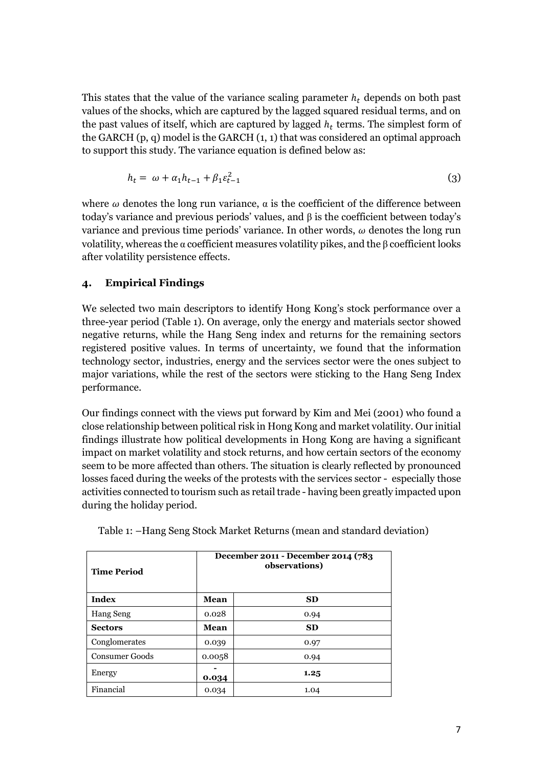This states that the value of the variance scaling parameter  $h_t$  depends on both past values of the shocks, which are captured by the lagged squared residual terms, and on the past values of itself, which are captured by lagged  $h_t$  terms. The simplest form of the GARCH (p, q) model is the GARCH (1, 1) that was considered an optimal approach to support this study. The variance equation is defined below as:

$$
h_t = \omega + \alpha_1 h_{t-1} + \beta_1 \varepsilon_{t-1}^2 \tag{3}
$$

where  $\omega$  denotes the long run variance,  $\alpha$  is the coefficient of the difference between today's variance and previous periods' values, and β is the coefficient between today's variance and previous time periods' variance. In other words,  $\omega$  denotes the long run volatility, whereas the α coefficient measures volatility pikes, and the β coefficient looks after volatility persistence effects.

#### **4. Empirical Findings**

We selected two main descriptors to identify Hong Kong's stock performance over a three-year period (Table 1). On average, only the energy and materials sector showed negative returns, while the Hang Seng index and returns for the remaining sectors registered positive values. In terms of uncertainty, we found that the information technology sector, industries, energy and the services sector were the ones subject to major variations, while the rest of the sectors were sticking to the Hang Seng Index performance.

Our findings connect with the views put forward by Kim and Mei (2001) who found a close relationship between political risk in Hong Kong and market volatility. Our initial findings illustrate how political developments in Hong Kong are having a significant impact on market volatility and stock returns, and how certain sectors of the economy seem to be more affected than others. The situation is clearly reflected by pronounced losses faced during the weeks of the protests with the services sector - especially those activities connected to tourism such as retail trade - having been greatly impacted upon during the holiday period.

| <b>Time Period</b>    | December 2011 - December 2014 (783<br>observations) |           |  |  |  |
|-----------------------|-----------------------------------------------------|-----------|--|--|--|
| Index                 | Mean                                                | <b>SD</b> |  |  |  |
| <b>Hang Seng</b>      | 0.028                                               | 0.94      |  |  |  |
| <b>Sectors</b>        | Mean                                                | <b>SD</b> |  |  |  |
| Conglomerates         | 0.039                                               | 0.97      |  |  |  |
| <b>Consumer Goods</b> | 0.0058                                              | 0.94      |  |  |  |
| Energy                | 0.034                                               | 1.25      |  |  |  |
| Financial             | 0.034                                               | 1.04      |  |  |  |

Table 1: –Hang Seng Stock Market Returns (mean and standard deviation)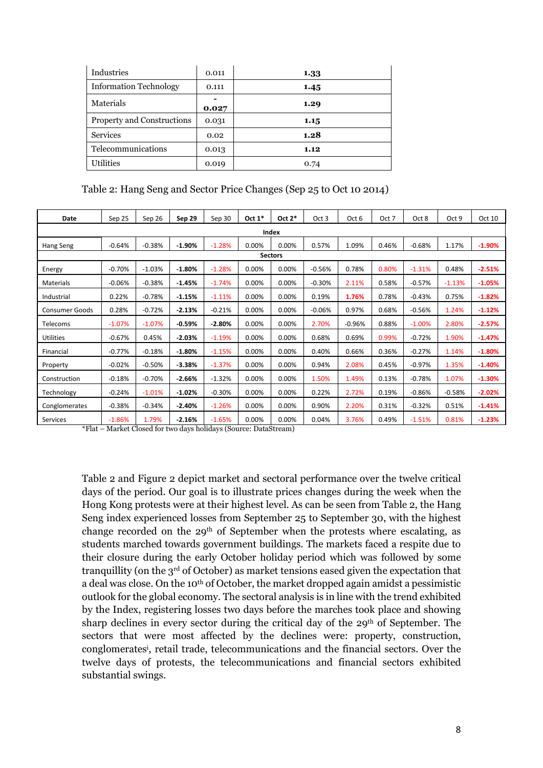| Industries                    | 0.011 | 1.33 |
|-------------------------------|-------|------|
| <b>Information Technology</b> | 0.111 | 1.45 |
| Materials                     | 0.027 | 1.29 |
| Property and Constructions    | 0.031 | 1.15 |
| <b>Services</b>               | 0.02  | 1.28 |
| Telecommunications            | 0.013 | 1.12 |
| <b>Utilities</b>              | 0.019 | 0.74 |

Table 2: Hang Seng and Sector Price Changes (Sep 25 to Oct 10 2014)

| Date                  | Sep 25   | Sep 26   | Sep 29   | Sep 30   | Oct $1*$ | Oct $2^*$ | Oct 3    | Oct 6    | Oct 7 | Oct 8    | Oct 9    | Oct 10   |
|-----------------------|----------|----------|----------|----------|----------|-----------|----------|----------|-------|----------|----------|----------|
| Index                 |          |          |          |          |          |           |          |          |       |          |          |          |
| Hang Seng             | $-0.64%$ | $-0.38%$ | $-1.90%$ | $-1.28%$ | 0.00%    | 0.00%     | 0.57%    | 1.09%    | 0.46% | $-0.68%$ | 1.17%    | $-1.90%$ |
| <b>Sectors</b>        |          |          |          |          |          |           |          |          |       |          |          |          |
| Energy                | $-0.70%$ | $-1.03%$ | $-1.80%$ | $-1.28%$ | 0.00%    | 0.00%     | $-0.56%$ | 0.78%    | 0.80% | $-1.31%$ | 0.48%    | $-2.51%$ |
| Materials             | $-0.06%$ | $-0.38%$ | $-1.45%$ | $-1.74%$ | 0.00%    | 0.00%     | $-0.30%$ | 2.11%    | 0.58% | $-0.57%$ | $-1.13%$ | $-1.05%$ |
| Industrial            | 0.22%    | $-0.78%$ | $-1.15%$ | $-1.11%$ | 0.00%    | 0.00%     | 0.19%    | 1.76%    | 0.78% | $-0.43%$ | 0.75%    | $-1.82%$ |
| <b>Consumer Goods</b> | 0.28%    | $-0.72%$ | $-2.13%$ | $-0.21%$ | 0.00%    | 0.00%     | $-0.06%$ | 0.97%    | 0.68% | $-0.56%$ | 1.24%    | $-1.12%$ |
| Telecoms              | $-1.07%$ | $-1.07%$ | $-0.59%$ | $-2.80%$ | 0.00%    | 0.00%     | 2.70%    | $-0.96%$ | 0.88% | $-1.00%$ | 2.80%    | $-2.57%$ |
| <b>Utilities</b>      | $-0.67%$ | 0.45%    | $-2.03%$ | $-1.19%$ | 0.00%    | 0.00%     | 0.68%    | 0.69%    | 0.99% | $-0.72%$ | 1.90%    | $-1.47%$ |
| Financial             | $-0.77%$ | $-0.18%$ | $-1.80%$ | $-1.15%$ | 0.00%    | 0.00%     | 0.40%    | 0.66%    | 0.36% | $-0.27%$ | 1.14%    | $-1.80%$ |
| Property              | $-0.02%$ | $-0.50%$ | $-3.38%$ | $-1.37%$ | 0.00%    | 0.00%     | 0.94%    | 2.08%    | 0.45% | $-0.97%$ | 1.35%    | $-1.40%$ |
| Construction          | $-0.18%$ | $-0.70%$ | $-2.66%$ | $-1.32%$ | 0.00%    | 0.00%     | 1.50%    | 1.49%    | 0.13% | $-0.78%$ | 1.07%    | $-1.30%$ |
| Technology            | $-0.24%$ | $-1.01%$ | $-1.02%$ | $-0.30%$ | 0.00%    | 0.00%     | 0.22%    | 2.72%    | 0.19% | $-0.86%$ | $-0.58%$ | $-2.02%$ |
| Conglomerates         | $-0.38%$ | $-0.34%$ | $-2.40%$ | $-1.26%$ | 0.00%    | 0.00%     | 0.90%    | 2.20%    | 0.31% | $-0.32%$ | 0.51%    | $-1.41%$ |
| Services              | $-1.86%$ | 1.79%    | $-2.16%$ | $-1.65%$ | 0.00%    | 0.00%     | 0.04%    | 3.76%    | 0.49% | $-1.51%$ | 0.81%    | $-1.23%$ |

\*Flat – Market Closed for two days holidays (Source: DataStream)

Table 2 and Figure 2 depict market and sectoral performance over the twelve critical days of the period. Our goal is to illustrate prices changes during the week when the Hong Kong protests were at their highest level. As can be seen from Table 2, the Hang Seng index experienced losses from September 25 to September 30, with the highest change recorded on the  $29<sup>th</sup>$  of September when the protests where escalating, as students marched towards government buildings. The markets faced a respite due to their closure during the early October holiday period which was followed by some tranquillity (on the 3<sup>rd</sup> of October) as market tensions eased given the expectation that a deal was close. On the 10th of October, the market dropped again amidst a pessimistic outlook for the global economy. The sectoral analysis is in line with the trend exhibited by the Index, registering losses two days before the marches took place and showing sharp declines in every sector during the critical day of the 29th of September. The sectors that were most affected by the declines were: property, construction, conglomerates i , retail trade, telecommunications and the financial sectors. Over the twelve days of protests, the telecommunications and financial sectors exhibited substantial swings.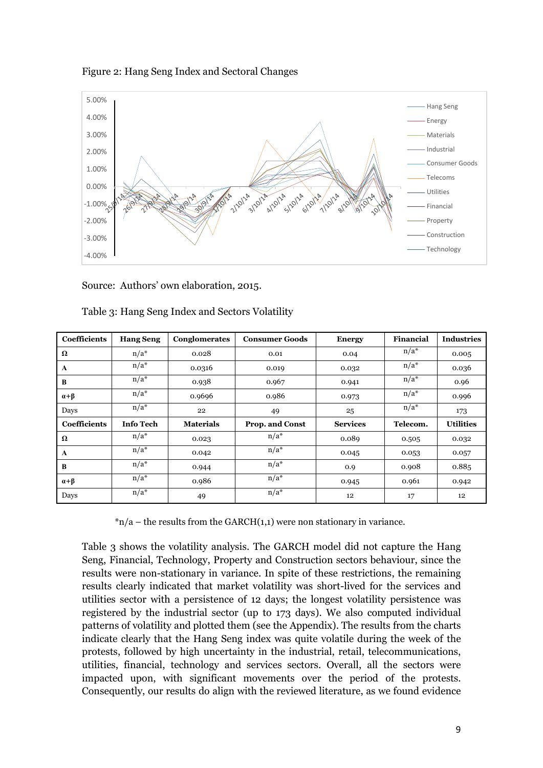



Source: Authors' own elaboration, 2015.

| Coefficients     | <b>Hang Seng</b> | Conglomerates    | <b>Consumer Goods</b> | <b>Energy</b>   | <b>Financial</b> | <b>Industries</b> |
|------------------|------------------|------------------|-----------------------|-----------------|------------------|-------------------|
| Ω                | $n/a^*$          | 0.028            | 0.01                  | 0.04            | $n/a^*$          | 0.005             |
| A                | $n/a^*$          | 0.0316           | 0.019                 | 0.032           | $n/a^*$          | 0.036             |
| B                | $n/a^*$          | 0.938            | 0.967                 | 0.941           | $n/a^*$          | 0.96              |
| $\alpha + \beta$ | $n/a^*$          | 0.9696           | 0.986                 | 0.973           | $n/a^*$          | 0.996             |
| Days             | $n/a^*$          | 22               | 49                    | 25              | $n/a^*$          | 173               |
| Coefficients     | <b>Info Tech</b> | <b>Materials</b> | Prop. and Const       | <b>Services</b> | Telecom.         | <b>Utilities</b>  |
| Ω                | $n/a^*$          | 0.023            | $n/a^*$               | 0.089           | 0.505            | 0.032             |
| A                | $n/a^*$          | 0.042            | $n/a^*$               | 0.045           | 0.053            | 0.057             |
| B                | $n/a^*$          | 0.944            | $n/a^*$               | 0.9             | 0.908            | 0.885             |
| $\alpha + \beta$ | $n/a^*$          | 0.986            | $n/a^*$               | 0.945           | 0.961            | 0.942             |
| Days             | $n/a^*$          | 49               | $n/a^*$               | 12              | 17               | 12                |

Table 3: Hang Seng Index and Sectors Volatility

 $n/a$  – the results from the GARCH(1,1) were non stationary in variance.

Table 3 shows the volatility analysis. The GARCH model did not capture the Hang Seng, Financial, Technology, Property and Construction sectors behaviour, since the results were non-stationary in variance. In spite of these restrictions, the remaining results clearly indicated that market volatility was short-lived for the services and utilities sector with a persistence of 12 days; the longest volatility persistence was registered by the industrial sector (up to 173 days). We also computed individual patterns of volatility and plotted them (see the Appendix). The results from the charts indicate clearly that the Hang Seng index was quite volatile during the week of the protests, followed by high uncertainty in the industrial, retail, telecommunications, utilities, financial, technology and services sectors. Overall, all the sectors were impacted upon, with significant movements over the period of the protests. Consequently, our results do align with the reviewed literature, as we found evidence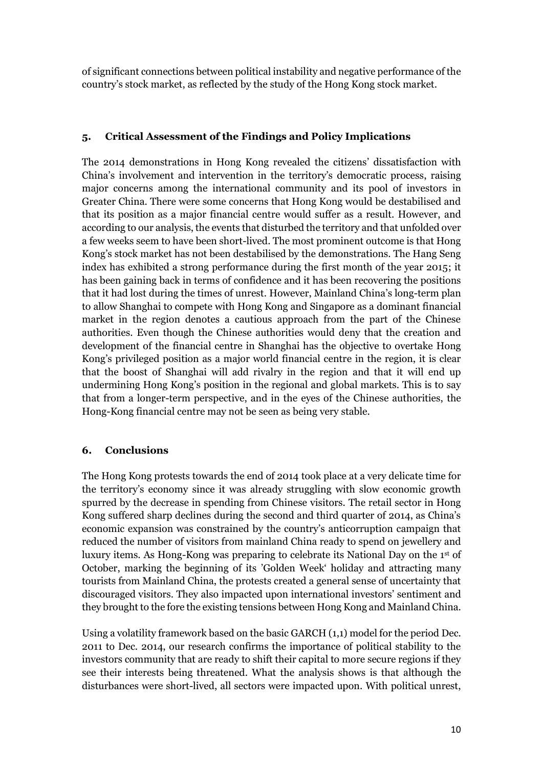of significant connections between political instability and negative performance of the country's stock market, as reflected by the study of the Hong Kong stock market.

## **5. Critical Assessment of the Findings and Policy Implications**

The 2014 demonstrations in Hong Kong revealed the citizens' dissatisfaction with China's involvement and intervention in the territory's democratic process, raising major concerns among the international community and its pool of investors in Greater China. There were some concerns that Hong Kong would be destabilised and that its position as a major financial centre would suffer as a result. However, and according to our analysis, the events that disturbed the territory and that unfolded over a few weeks seem to have been short-lived. The most prominent outcome is that Hong Kong's stock market has not been destabilised by the demonstrations. The Hang Seng index has exhibited a strong performance during the first month of the year 2015; it has been gaining back in terms of confidence and it has been recovering the positions that it had lost during the times of unrest. However, Mainland China's long-term plan to allow Shanghai to compete with Hong Kong and Singapore as a dominant financial market in the region denotes a cautious approach from the part of the Chinese authorities. Even though the Chinese authorities would deny that the creation and development of the financial centre in Shanghai has the objective to overtake Hong Kong's privileged position as a major world financial centre in the region, it is clear that the boost of Shanghai will add rivalry in the region and that it will end up undermining Hong Kong's position in the regional and global markets. This is to say that from a longer-term perspective, and in the eyes of the Chinese authorities, the Hong-Kong financial centre may not be seen as being very stable.

## **6. Conclusions**

The Hong Kong protests towards the end of 2014 took place at a very delicate time for the territory's economy since it was already struggling with slow economic growth spurred by the decrease in spending from Chinese visitors. The retail sector in Hong Kong suffered sharp declines during the second and third quarter of 2014, as China's economic expansion was constrained by the country's anticorruption campaign that reduced the number of visitors from mainland China ready to spend on jewellery and luxury items. As Hong-Kong was preparing to celebrate its National Day on the 1st of October, marking the beginning of its 'Golden Week' holiday and attracting many tourists from Mainland China, the protests created a general sense of uncertainty that discouraged visitors. They also impacted upon international investors' sentiment and they brought to the fore the existing tensions between Hong Kong and Mainland China.

Using a volatility framework based on the basic GARCH (1,1) model for the period Dec. 2011 to Dec. 2014, our research confirms the importance of political stability to the investors community that are ready to shift their capital to more secure regions if they see their interests being threatened. What the analysis shows is that although the disturbances were short-lived, all sectors were impacted upon. With political unrest,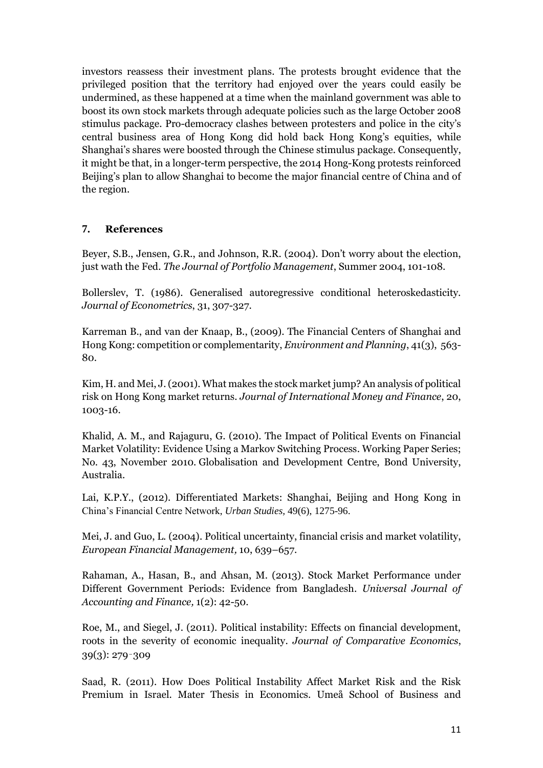investors reassess their investment plans. The protests brought evidence that the privileged position that the territory had enjoyed over the years could easily be undermined, as these happened at a time when the mainland government was able to boost its own stock markets through adequate policies such as the large October 2008 stimulus package. Pro-democracy clashes between protesters and police in the city's central business area of Hong Kong did hold back Hong Kong's equities, while Shanghai's shares were boosted through the Chinese stimulus package. Consequently, it might be that, in a longer-term perspective, the 2014 Hong-Kong protests reinforced Beijing's plan to allow Shanghai to become the major financial centre of China and of the region.

## **7. References**

Beyer, S.B., Jensen, G.R., and Johnson, R.R. (2004). Don't worry about the election, just wath the Fed. *The Journal of Portfolio Management*, Summer 2004, 101-108.

Bollerslev, T. (1986). Generalised autoregressive conditional heteroskedasticity. *Journal of Econometrics*, 31, 307-327.

Karreman B., and van der Knaap, B., (2009). The Financial Centers of Shanghai and Hong Kong: competition or complementarity, *Environment and Planning*, 41(3), 563- 80.

Kim, H. and Mei, J.(2001). What makes the stock market jump? An analysis of political risk on Hong Kong market returns. *Journal of International Money and Finance*, 20, 1003-16.

Khalid, A. M., and Rajaguru, G. (2010). The Impact of Political Events on Financial Market Volatility: Evidence Using a Markov Switching Process. Working Paper Series; No. 43, November 2010. Globalisation and Development Centre, Bond University, Australia.

Lai, K.P.Y., (2012). Differentiated Markets: Shanghai, Beijing and Hong Kong in China's Financial Centre Network, *Urban Studies,* 49(6), 1275-96.

Mei, J. and Guo, L. (2004). Political uncertainty, financial crisis and market volatility, *European Financial Management,* 10, 639–657.

Rahaman, A., Hasan, B., and Ahsan, M. (2013). Stock Market Performance under Different Government Periods: Evidence from Bangladesh. *Universal Journal of Accounting and Finance,* 1(2): 42-50.

Roe, M., and Siegel, J. (2011). Political instability: Effects on financial development, roots in the severity of economic inequality. *Journal of Comparative Economics*, 39(3): 279–309

Saad, R. (2011). How Does Political Instability Affect Market Risk and the Risk Premium in Israel. Mater Thesis in Economics. [Umeå School of Business and](http://www.diva-portal.org/smash/resultList.jsf?dswid=-2710&af=%5B%5D&aq=%5B%5B%7B%22organisation%22%3A%22Ume%C3%A5+School+of+Business+and+Economics+%28USBE%29%22%7D%5D%5D&aqe=%5B%5D&aq2=%5B%5B%5D%5D&language=en&query=&jfwid=-2710)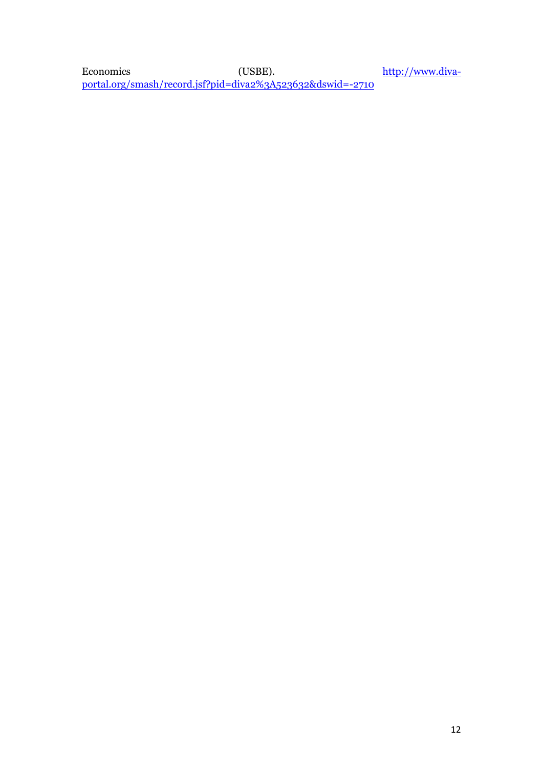[Economics \(USBE\).](http://www.diva-portal.org/smash/resultList.jsf?dswid=-2710&af=%5B%5D&aq=%5B%5B%7B%22organisation%22%3A%22Ume%C3%A5+School+of+Business+and+Economics+%28USBE%29%22%7D%5D%5D&aqe=%5B%5D&aq2=%5B%5B%5D%5D&language=en&query=&jfwid=-2710) [http://www.diva](http://www.diva-portal.org/smash/record.jsf?pid=diva2%3A523632&dswid=-2710)[portal.org/smash/record.jsf?pid=diva2%3A523632&dswid=-2710](http://www.diva-portal.org/smash/record.jsf?pid=diva2%3A523632&dswid=-2710)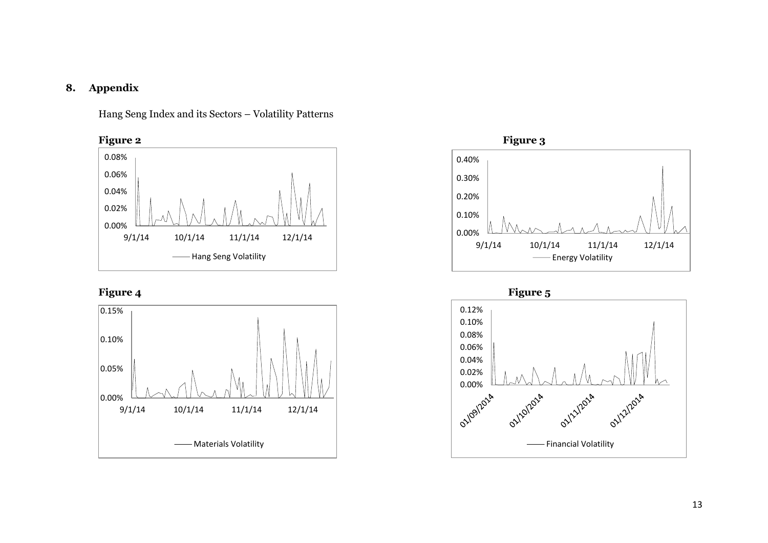# **8. Appendix**

Hang Seng Index and its Sectors – Volatility Patterns







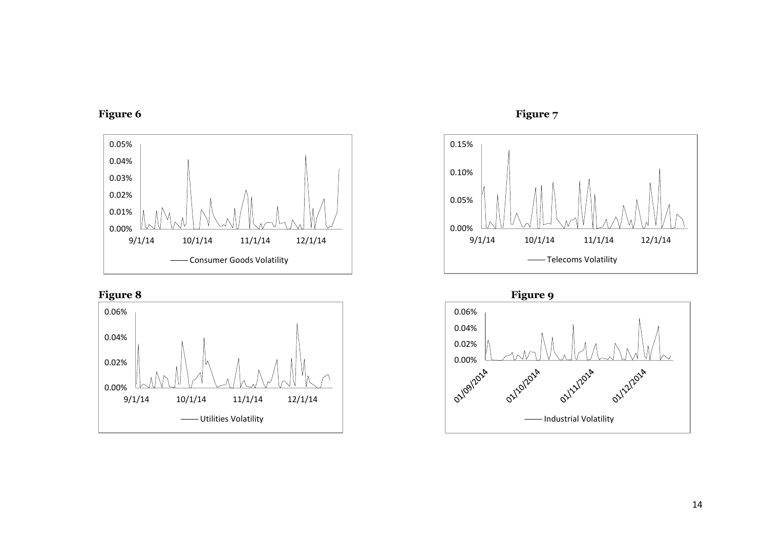











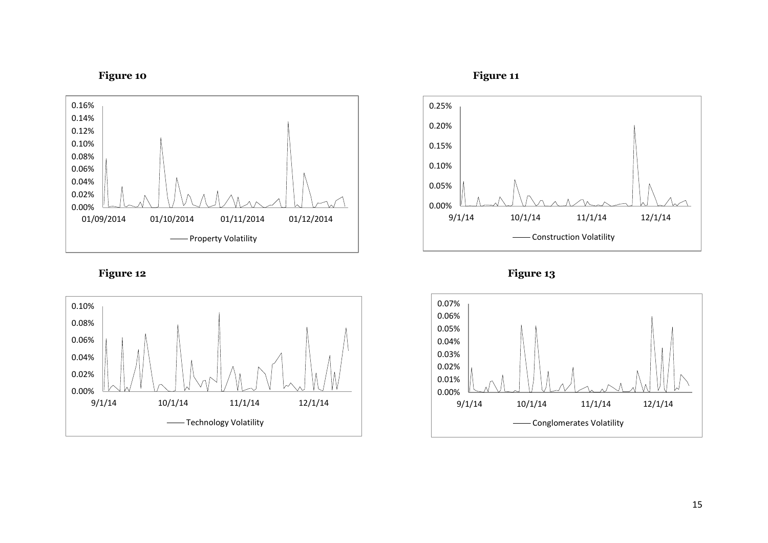



Figure 12 Figure 13